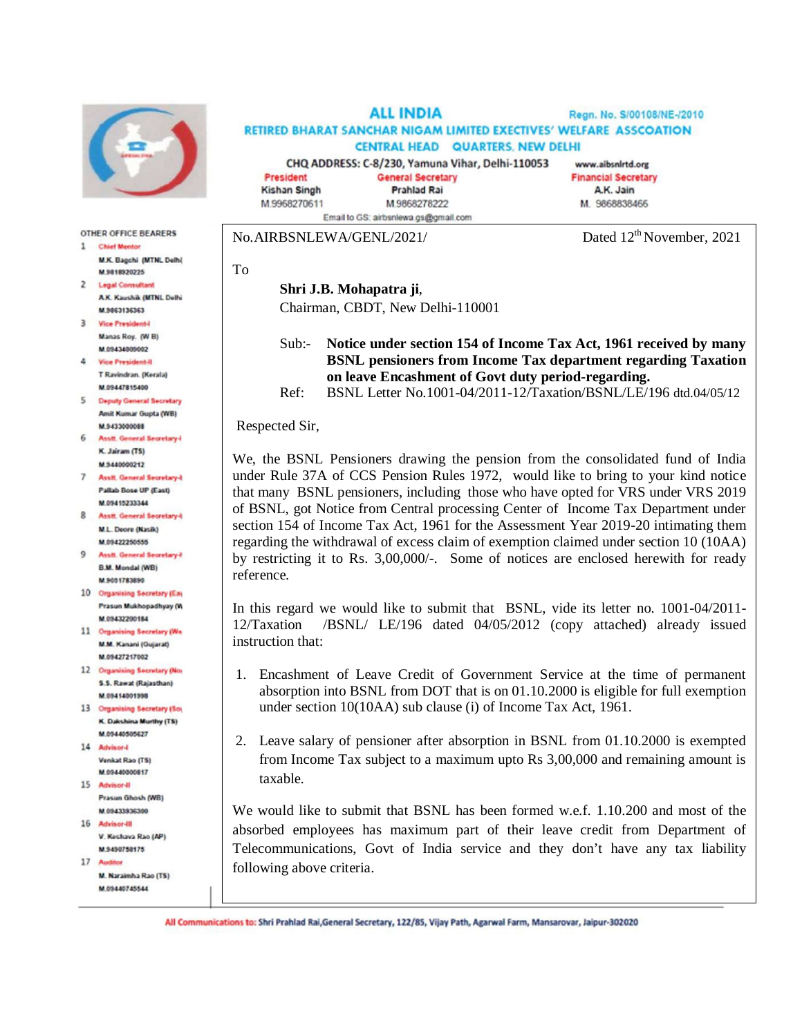

## **OTHER OFFICE BEARERS**

- 1 Chief Mentor M.K. Bagchi (MTNL Delhi) **M 5818920225**
- 2 Legal Consultant A.K. Kaushik (MTNL Delhi M 9863136363
- 3 Vice President-I Manas Roy. (W B) M.09434009002
- 4 Vice President-II T Ravindran, (Kerala) M.09447815400
- 5 Deputy General Secretary Amit Kumar Gupta (WB) M.9433000088
- 6 Asstt, General Secretary4 K. Jairam (TS) M.9440000212
- 7 Assit. General Secretary-I Pallab Bose UP (East) M.09415233344
- 8 Asstf General Secretary-8 M.L. Deore (Nasik) M.09422250555
- 9 Assit. General Secretary-F **B.M. Mondal (WB)** M.9051783890
- 10 Organising Secretary (Eas Prasun Mukhopadhyay (W M 09432200184
- 11 Organising Secretary (We M.M. Kanani (Gujarat) M.09427217002
- 12 Organising Secretary (No) S.S. Rawat (Rajasthan) M.09414001998
- 13 Organising Secretary (So) K. Dakshina Murthy (TS) M.09440505627
- 14 Advisor-Venkat Rao (TS) M.09440000817
- 15 Advisor-II Prasun Ghosh (WB) M 0943333300
- 16 Advisor-III V. Keshava Rao (AP) M.9490758175
- 17 Auditor M. Naraimha Rao (TS)
- M.09440745544

**ALL INDIA** Regn. No. S/00108/NE-/2010 RETIRED BHARAT SANCHAR NIGAM LIMITED EXECTIVES' WELFARE ASSCOATION **CENTRAL HEAD QUARTERS, NEW DELHI** CHQ ADDRESS: C-8/230, Yamuna Vihar, Delhi-110053 www.aibsnirtd.org

President **Kishan Singh** M.9968270611 Email to GS; airbsnlewa.gs@gmail.com

**General Secretary Prahlad Rai** 

M.9868278222

**Financial Secretary** A.K. Jain M. 9868838466

No.AIRBSNLEWA/GENL/2021/ Dated 12<sup>th</sup> November, 2021

To

## **Shri J.B. Mohapatra ji**,

Chairman, CBDT, New Delhi-110001

## Sub:- **Notice under section 154 of Income Tax Act, 1961 received by many BSNL pensioners from Income Tax department regarding Taxation on leave Encashment of Govt duty period-regarding.**

Ref: BSNL Letter No.1001-04/2011-12/Taxation/BSNL/LE/196 dtd.04/05/12

Respected Sir,

We, the BSNL Pensioners drawing the pension from the consolidated fund of India under Rule 37A of CCS Pension Rules 1972, would like to bring to your kind notice that many BSNL pensioners, including those who have opted for VRS under VRS 2019 of BSNL, got Notice from Central processing Center of Income Tax Department under section 154 of Income Tax Act, 1961 for the Assessment Year 2019-20 intimating them regarding the withdrawal of excess claim of exemption claimed under section 10 (10AA) by restricting it to Rs. 3,00,000/-. Some of notices are enclosed herewith for ready reference.

In this regard we would like to submit that BSNL, vide its letter no. 1001-04/2011- 12/Taxation /BSNL/ LE/196 dated 04/05/2012 (copy attached) already issued instruction that:

- 1. Encashment of Leave Credit of Government Service at the time of permanent absorption into BSNL from DOT that is on 01.10.2000 is eligible for full exemption under section 10(10AA) sub clause (i) of Income Tax Act, 1961.
- 2. Leave salary of pensioner after absorption in BSNL from 01.10.2000 is exempted from Income Tax subject to a maximum upto Rs 3,00,000 and remaining amount is taxable.

We would like to submit that BSNL has been formed w.e.f. 1.10.200 and most of the absorbed employees has maximum part of their leave credit from Department of Telecommunications, Govt of India service and they don't have any tax liability following above criteria.

All Communications to: Shri Prahlad Rai, General Secretary, 122/85, Vijay Path, Agarwal Farm, Mansarovar, Jaipur-302020